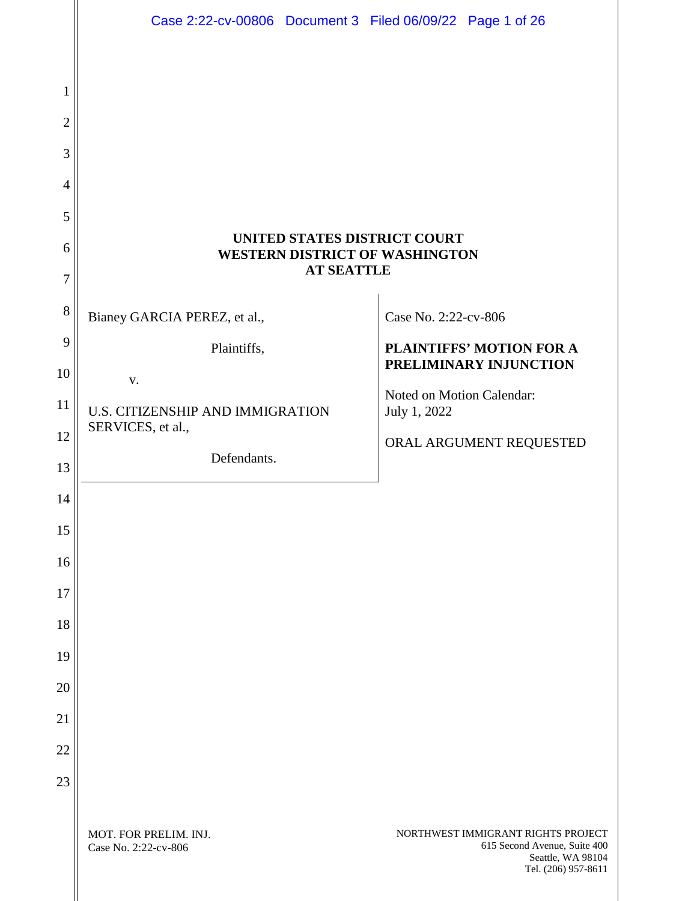|                | Case 2:22-cv-00806 Document 3 Filed 06/09/22 Page 1 of 26                                  |                                                                                                                |  |  |  |
|----------------|--------------------------------------------------------------------------------------------|----------------------------------------------------------------------------------------------------------------|--|--|--|
|                |                                                                                            |                                                                                                                |  |  |  |
| 1              |                                                                                            |                                                                                                                |  |  |  |
| $\overline{2}$ |                                                                                            |                                                                                                                |  |  |  |
| 3              |                                                                                            |                                                                                                                |  |  |  |
| $\overline{4}$ |                                                                                            |                                                                                                                |  |  |  |
| 5              |                                                                                            |                                                                                                                |  |  |  |
| 6              | UNITED STATES DISTRICT COURT<br><b>WESTERN DISTRICT OF WASHINGTON</b><br><b>AT SEATTLE</b> |                                                                                                                |  |  |  |
| 7              |                                                                                            |                                                                                                                |  |  |  |
| 8              | Bianey GARCIA PEREZ, et al.,                                                               | Case No. 2:22-cv-806                                                                                           |  |  |  |
| 9              | Plaintiffs,                                                                                | <b>PLAINTIFFS' MOTION FOR A</b><br>PRELIMINARY INJUNCTION                                                      |  |  |  |
| 10             | V.                                                                                         | Noted on Motion Calendar:                                                                                      |  |  |  |
| 11             | U.S. CITIZENSHIP AND IMMIGRATION<br>SERVICES, et al.,                                      | July 1, 2022                                                                                                   |  |  |  |
| 12             | Defendants.                                                                                | ORAL ARGUMENT REQUESTED                                                                                        |  |  |  |
| 13             |                                                                                            |                                                                                                                |  |  |  |
| 14             |                                                                                            |                                                                                                                |  |  |  |
| 15             |                                                                                            |                                                                                                                |  |  |  |
| 16             |                                                                                            |                                                                                                                |  |  |  |
| 17             |                                                                                            |                                                                                                                |  |  |  |
| 18             |                                                                                            |                                                                                                                |  |  |  |
| 19             |                                                                                            |                                                                                                                |  |  |  |
| 20             |                                                                                            |                                                                                                                |  |  |  |
| 21             |                                                                                            |                                                                                                                |  |  |  |
| 22             |                                                                                            |                                                                                                                |  |  |  |
| 23             |                                                                                            |                                                                                                                |  |  |  |
|                | MOT. FOR PRELIM. INJ.<br>Case No. 2:22-cv-806                                              | NORTHWEST IMMIGRANT RIGHTS PROJECT<br>615 Second Avenue, Suite 400<br>Seattle, WA 98104<br>Tel. (206) 957-8611 |  |  |  |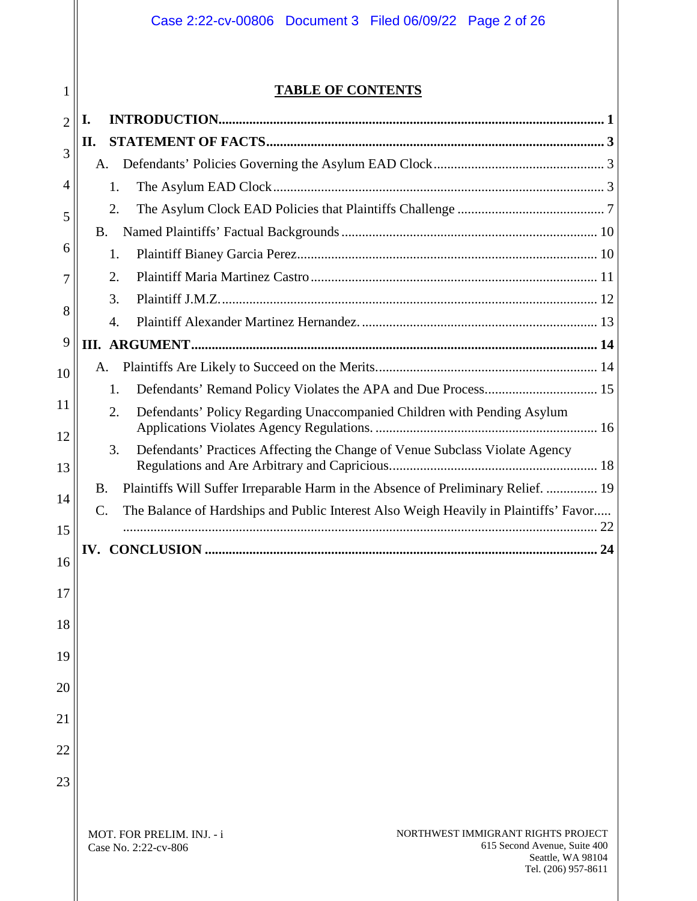# **TABLE OF CONTENTS**

| $\overline{2}$ | I.                                                                                             |  |
|----------------|------------------------------------------------------------------------------------------------|--|
| 3              | П.                                                                                             |  |
|                |                                                                                                |  |
| $\overline{4}$ | 1.                                                                                             |  |
| 5              | 2.                                                                                             |  |
|                | <b>B.</b>                                                                                      |  |
| 6              | 1.                                                                                             |  |
| 7              | 2.                                                                                             |  |
| 8              | 3.                                                                                             |  |
|                | 4.                                                                                             |  |
| 9              |                                                                                                |  |
| 10             | A.                                                                                             |  |
| 11             | 1.<br>2.                                                                                       |  |
| 12             | Defendants' Policy Regarding Unaccompanied Children with Pending Asylum                        |  |
| 13             | Defendants' Practices Affecting the Change of Venue Subclass Violate Agency<br>3.              |  |
| 14             | Plaintiffs Will Suffer Irreparable Harm in the Absence of Preliminary Relief.  19<br><b>B.</b> |  |
| 15             | The Balance of Hardships and Public Interest Also Weigh Heavily in Plaintiffs' Favor<br>C.     |  |
| 16             |                                                                                                |  |
|                |                                                                                                |  |
| 17             |                                                                                                |  |
| 18             |                                                                                                |  |
| 19             |                                                                                                |  |
| 20             |                                                                                                |  |
| 21             |                                                                                                |  |
| 22             |                                                                                                |  |
| 23             |                                                                                                |  |
|                |                                                                                                |  |
|                | MOT. FOR PRELIM. INJ. - i<br>NORTHWEST IMMIGRANT RIGHTS PROJECT                                |  |

615 Second Avenue, Suite 400

Seattle, WA 98104 Tel. (206) 957-8611

Case No. 2:22-cv-806

1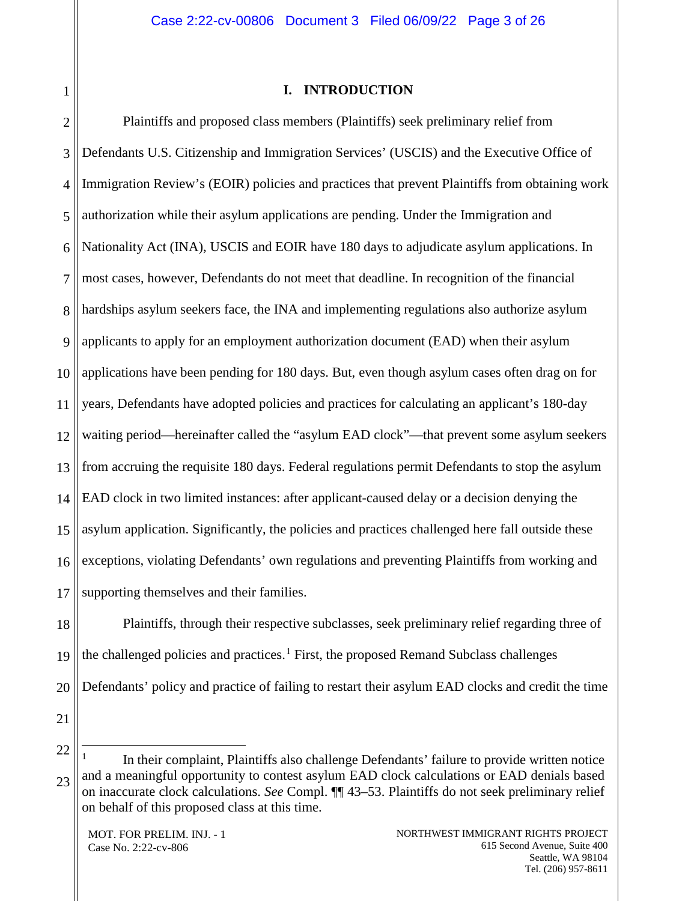<span id="page-2-0"></span>1

#### **I. INTRODUCTION**

2 3 4 5 6 7 8 9 10 11 12 13 14 15 16 17 Plaintiffs and proposed class members (Plaintiffs) seek preliminary relief from Defendants U.S. Citizenship and Immigration Services' (USCIS) and the Executive Office of Immigration Review's (EOIR) policies and practices that prevent Plaintiffs from obtaining work authorization while their asylum applications are pending. Under the Immigration and Nationality Act (INA), USCIS and EOIR have 180 days to adjudicate asylum applications. In most cases, however, Defendants do not meet that deadline. In recognition of the financial hardships asylum seekers face, the INA and implementing regulations also authorize asylum applicants to apply for an employment authorization document (EAD) when their asylum applications have been pending for 180 days. But, even though asylum cases often drag on for years, Defendants have adopted policies and practices for calculating an applicant's 180-day waiting period—hereinafter called the "asylum EAD clock"—that prevent some asylum seekers from accruing the requisite 180 days. Federal regulations permit Defendants to stop the asylum EAD clock in two limited instances: after applicant-caused delay or a decision denying the asylum application. Significantly, the policies and practices challenged here fall outside these exceptions, violating Defendants' own regulations and preventing Plaintiffs from working and supporting themselves and their families.

18 19 20 Plaintiffs, through their respective subclasses, seek preliminary relief regarding three of the challenged policies and practices.<sup>[1](#page-2-1)</sup> First, the proposed Remand Subclass challenges Defendants' policy and practice of failing to restart their asylum EAD clocks and credit the time

21

<span id="page-2-1"></span>22 23

 <sup>1</sup> In their complaint, Plaintiffs also challenge Defendants' failure to provide written notice and a meaningful opportunity to contest asylum EAD clock calculations or EAD denials based on inaccurate clock calculations. *See* Compl. ¶¶ 43–53. Plaintiffs do not seek preliminary relief on behalf of this proposed class at this time.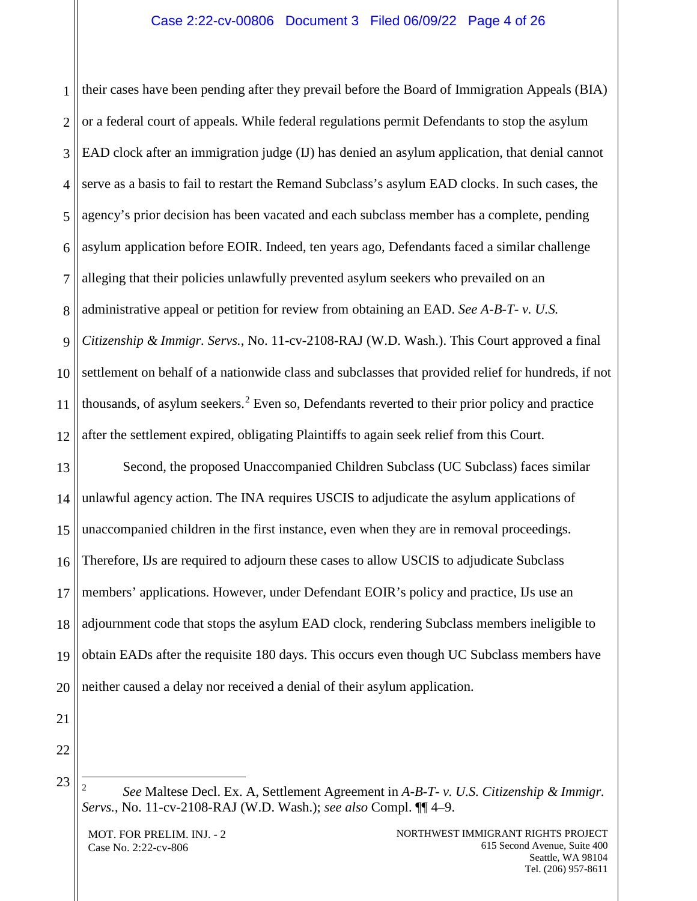1 2 3 4 5 6 7 8 9 10 11 12 their cases have been pending after they prevail before the Board of Immigration Appeals (BIA) or a federal court of appeals. While federal regulations permit Defendants to stop the asylum EAD clock after an immigration judge (IJ) has denied an asylum application, that denial cannot serve as a basis to fail to restart the Remand Subclass's asylum EAD clocks. In such cases, the agency's prior decision has been vacated and each subclass member has a complete, pending asylum application before EOIR. Indeed, ten years ago, Defendants faced a similar challenge alleging that their policies unlawfully prevented asylum seekers who prevailed on an administrative appeal or petition for review from obtaining an EAD. *See A-B-T- v. U.S. Citizenship & Immigr. Servs.*, No. 11-cv-2108-RAJ (W.D. Wash.). This Court approved a final settlement on behalf of a nationwide class and subclasses that provided relief for hundreds, if not thousands, of asylum seekers. [2](#page-3-0) Even so, Defendants reverted to their prior policy and practice after the settlement expired, obligating Plaintiffs to again seek relief from this Court.

13 14 15 16 17 18 19 20 Second, the proposed Unaccompanied Children Subclass (UC Subclass) faces similar unlawful agency action. The INA requires USCIS to adjudicate the asylum applications of unaccompanied children in the first instance, even when they are in removal proceedings. Therefore, IJs are required to adjourn these cases to allow USCIS to adjudicate Subclass members' applications. However, under Defendant EOIR's policy and practice, IJs use an adjournment code that stops the asylum EAD clock, rendering Subclass members ineligible to obtain EADs after the requisite 180 days. This occurs even though UC Subclass members have neither caused a delay nor received a denial of their asylum application.

21 22

<span id="page-3-0"></span>23

MOT. FOR PRELIM. INJ. - 2 Case No. 2:22-cv-806

 <sup>2</sup> *See* Maltese Decl. Ex. A, Settlement Agreement in *A-B-T- v. U.S. Citizenship & Immigr. Servs.*, No. 11-cv-2108-RAJ (W.D. Wash.); *see also* Compl. ¶¶ 4–9.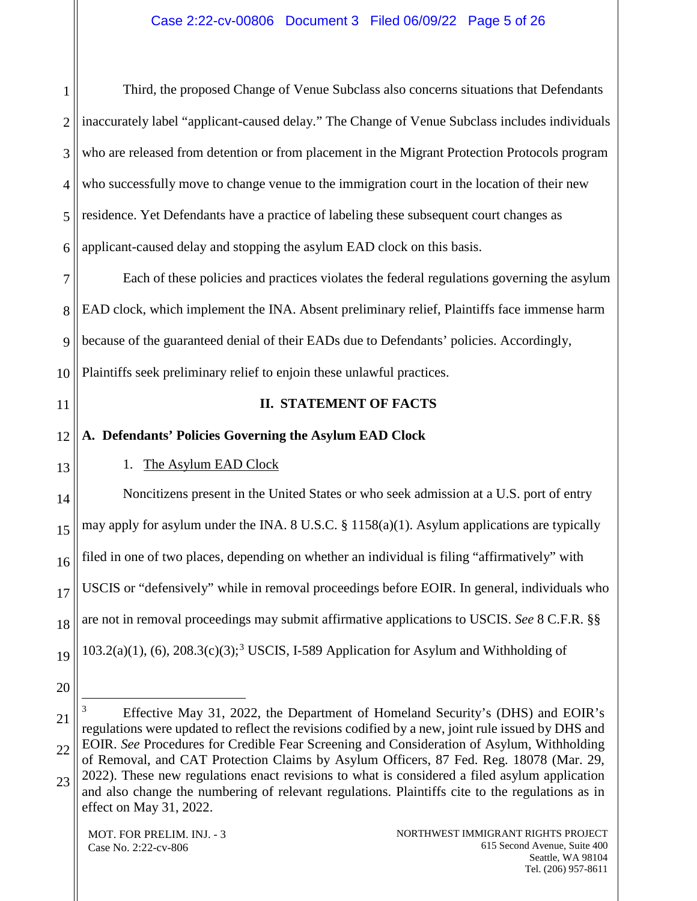1 2 3 4 5 6 Third, the proposed Change of Venue Subclass also concerns situations that Defendants inaccurately label "applicant-caused delay." The Change of Venue Subclass includes individuals who are released from detention or from placement in the Migrant Protection Protocols program who successfully move to change venue to the immigration court in the location of their new residence. Yet Defendants have a practice of labeling these subsequent court changes as applicant-caused delay and stopping the asylum EAD clock on this basis.

7 8 9 10 Each of these policies and practices violates the federal regulations governing the asylum EAD clock, which implement the INA. Absent preliminary relief, Plaintiffs face immense harm because of the guaranteed denial of their EADs due to Defendants' policies. Accordingly, Plaintiffs seek preliminary relief to enjoin these unlawful practices.

<span id="page-4-0"></span>11

## **II. STATEMENT OF FACTS**

<span id="page-4-1"></span>12 **A. Defendants' Policies Governing the Asylum EAD Clock**

<span id="page-4-2"></span>13

# 1. The Asylum EAD Clock

14 15 16 17 18 19 Noncitizens present in the United States or who seek admission at a U.S. port of entry may apply for asylum under the INA. 8 U.S.C. § 1158(a)(1). Asylum applications are typically filed in one of two places, depending on whether an individual is filing "affirmatively" with USCIS or "defensively" while in removal proceedings before EOIR. In general, individuals who are not in removal proceedings may submit affirmative applications to USCIS. *See* 8 C.F.R. §§ 10[3](#page-4-3).2(a)(1), (6), 208.3(c)(3);<sup>3</sup> USCIS, I-589 Application for Asylum and Withholding of

- 20
- <span id="page-4-3"></span>21 22 23 3 Effective May 31, 2022, the Department of Homeland Security's (DHS) and EOIR's regulations were updated to reflect the revisions codified by a new, joint rule issued by DHS and EOIR. *See* Procedures for Credible Fear Screening and Consideration of Asylum, Withholding of Removal, and CAT Protection Claims by Asylum Officers, 87 Fed. Reg. 18078 (Mar. 29, 2022). These new regulations enact revisions to what is considered a filed asylum application and also change the numbering of relevant regulations. Plaintiffs cite to the regulations as in effect on May 31, 2022.

MOT. FOR PRELIM. INJ. - 3 Case No. 2:22-cv-806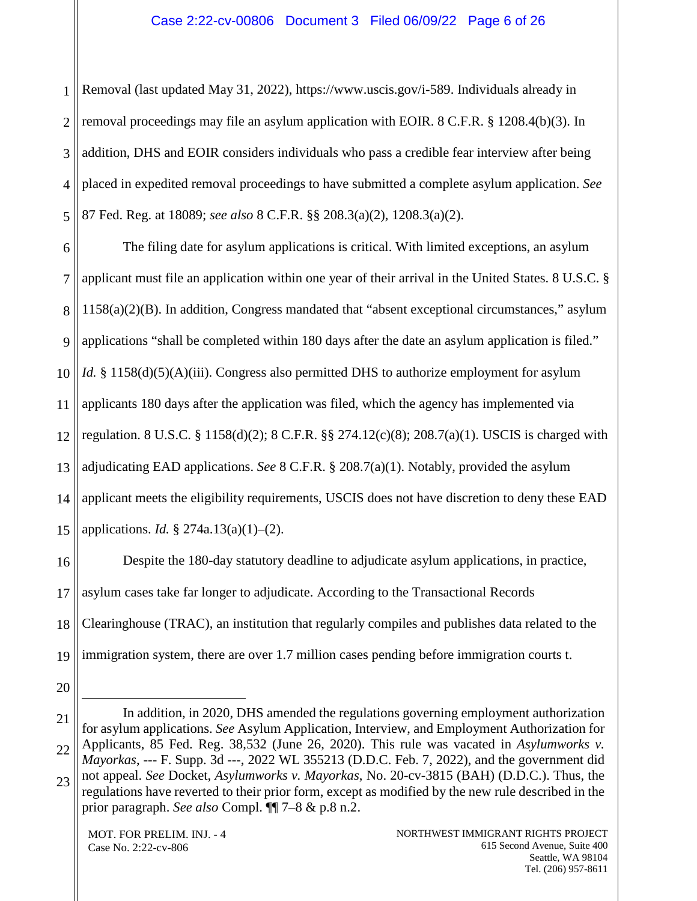1 2 3 4 5 Removal (last updated May 31, 2022), https://www.uscis.gov/i-589. Individuals already in removal proceedings may file an asylum application with EOIR. 8 C.F.R. § 1208.4(b)(3). In addition, DHS and EOIR considers individuals who pass a credible fear interview after being placed in expedited removal proceedings to have submitted a complete asylum application. *See* 87 Fed. Reg. at 18089; *see also* 8 C.F.R. §§ 208.3(a)(2), 1208.3(a)(2).

6 7 8 9 10 11 12 13 14 15 The filing date for asylum applications is critical. With limited exceptions, an asylum applicant must file an application within one year of their arrival in the United States. 8 U.S.C. § 1158(a)(2)(B). In addition, Congress mandated that "absent exceptional circumstances," asylum applications "shall be completed within 180 days after the date an asylum application is filed." *Id.* § 1158(d)(5)(A)(iii). Congress also permitted DHS to authorize employment for asylum applicants 180 days after the application was filed, which the agency has implemented via regulation. 8 U.S.C. § 1158(d)(2); 8 C.F.R. §§ 274.12(c)(8); 208.7(a)(1). USCIS is charged with adjudicating EAD applications. *See* 8 C.F.R. § 208.7(a)(1). Notably, provided the asylum applicant meets the eligibility requirements, USCIS does not have discretion to deny these EAD applications. *Id.* § 274a.13(a)(1)–(2).

16 17 18 19 Despite the 180-day statutory deadline to adjudicate asylum applications, in practice, asylum cases take far longer to adjudicate. According to the Transactional Records Clearinghouse (TRAC), an institution that regularly compiles and publishes data related to the immigration system, there are over 1.7 million cases pending before immigration courts t.

20

 $\overline{a}$ 

MOT. FOR PRELIM. INJ. - 4 Case No. 2:22-cv-806

<sup>21</sup> 22 23 In addition, in 2020, DHS amended the regulations governing employment authorization for asylum applications. *See* Asylum Application, Interview, and Employment Authorization for Applicants, 85 Fed. Reg. 38,532 (June 26, 2020). This rule was vacated in *Asylumworks v. Mayorkas*, --- F. Supp. 3d ---, 2022 WL 355213 (D.D.C. Feb. 7, 2022), and the government did not appeal. *See* Docket, *Asylumworks v. Mayorkas*, No. 20-cv-3815 (BAH) (D.D.C.). Thus, the regulations have reverted to their prior form, except as modified by the new rule described in the prior paragraph. *See also* Compl. ¶¶ 7–8 & p.8 n.2.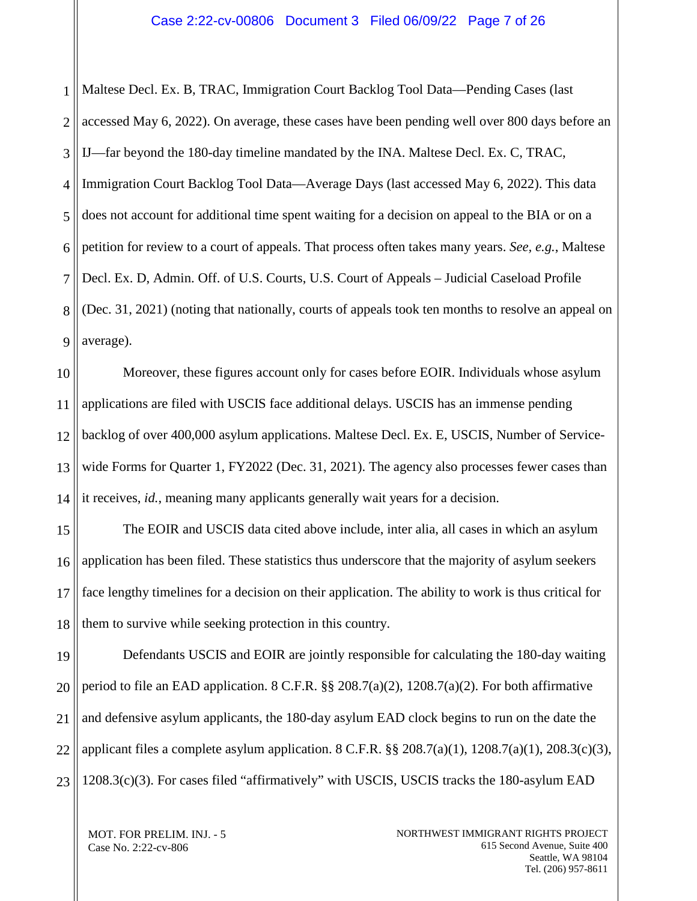1 2 3 4 5 6 7 8 9 Maltese Decl. Ex. B, TRAC, Immigration Court Backlog Tool Data—Pending Cases (last accessed May 6, 2022). On average, these cases have been pending well over 800 days before an IJ—far beyond the 180-day timeline mandated by the INA. Maltese Decl. Ex. C, TRAC, Immigration Court Backlog Tool Data—Average Days (last accessed May 6, 2022). This data does not account for additional time spent waiting for a decision on appeal to the BIA or on a petition for review to a court of appeals. That process often takes many years. *See, e.g.*, Maltese Decl. Ex. D, Admin. Off. of U.S. Courts, U.S. Court of Appeals – Judicial Caseload Profile (Dec. 31, 2021) (noting that nationally, courts of appeals took ten months to resolve an appeal on average).

10 11 12 13 14 Moreover, these figures account only for cases before EOIR. Individuals whose asylum applications are filed with USCIS face additional delays. USCIS has an immense pending backlog of over 400,000 asylum applications. Maltese Decl. Ex. E, USCIS, Number of Servicewide Forms for Quarter 1, FY2022 (Dec. 31, 2021). The agency also processes fewer cases than it receives, *id.*, meaning many applicants generally wait years for a decision.

15 16 17 18 The EOIR and USCIS data cited above include, inter alia, all cases in which an asylum application has been filed. These statistics thus underscore that the majority of asylum seekers face lengthy timelines for a decision on their application. The ability to work is thus critical for them to survive while seeking protection in this country.

19 20 21 22 23 Defendants USCIS and EOIR are jointly responsible for calculating the 180-day waiting period to file an EAD application. 8 C.F.R. §§ 208.7(a)(2), 1208.7(a)(2). For both affirmative and defensive asylum applicants, the 180-day asylum EAD clock begins to run on the date the applicant files a complete asylum application.  $8 \text{ C.F.R.}$   $\S_{8}$   $208.7(a)(1)$ ,  $1208.7(a)(1)$ ,  $208.3(c)(3)$ , 1208.3(c)(3). For cases filed "affirmatively" with USCIS, USCIS tracks the 180-asylum EAD

MOT. FOR PRELIM. INJ. - 5 Case No. 2:22-cv-806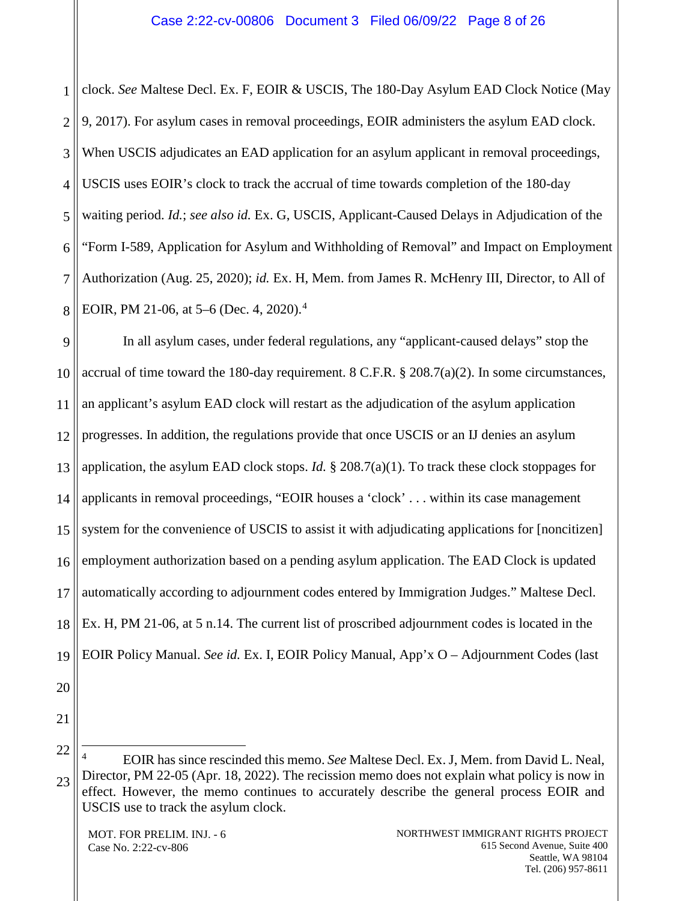1 2 3 4 5 6 7 8 clock. *See* Maltese Decl. Ex. F, EOIR & USCIS, The 180-Day Asylum EAD Clock Notice (May 9, 2017). For asylum cases in removal proceedings, EOIR administers the asylum EAD clock. When USCIS adjudicates an EAD application for an asylum applicant in removal proceedings, USCIS uses EOIR's clock to track the accrual of time towards completion of the 180-day waiting period. *Id.*; *see also id.* Ex. G, USCIS, Applicant-Caused Delays in Adjudication of the "Form I-589, Application for Asylum and Withholding of Removal" and Impact on Employment Authorization (Aug. 25, 2020); *id.* Ex. H, Mem. from James R. McHenry III, Director, to All of EOIR, PM 21-06, at 5–6 (Dec. 4, 2020). [4](#page-7-0)

9 10 11 12 13 14 15 16 17 18 19 In all asylum cases, under federal regulations, any "applicant-caused delays" stop the accrual of time toward the 180-day requirement. 8 C.F.R. § 208.7(a)(2). In some circumstances, an applicant's asylum EAD clock will restart as the adjudication of the asylum application progresses. In addition, the regulations provide that once USCIS or an IJ denies an asylum application, the asylum EAD clock stops. *Id.* § 208.7(a)(1). To track these clock stoppages for applicants in removal proceedings, "EOIR houses a 'clock' . . . within its case management system for the convenience of USCIS to assist it with adjudicating applications for [noncitizen] employment authorization based on a pending asylum application. The EAD Clock is updated automatically according to adjournment codes entered by Immigration Judges." Maltese Decl. Ex. H, PM 21-06, at 5 n.14. The current list of proscribed adjournment codes is located in the EOIR Policy Manual. *See id.* Ex. I, EOIR Policy Manual, App'x O – Adjournment Codes (last

- 20
- 21

<span id="page-7-0"></span><sup>22</sup> 23 4 EOIR has since rescinded this memo. *See* Maltese Decl. Ex. J, Mem. from David L. Neal, Director, PM 22-05 (Apr. 18, 2022). The recission memo does not explain what policy is now in effect. However, the memo continues to accurately describe the general process EOIR and USCIS use to track the asylum clock.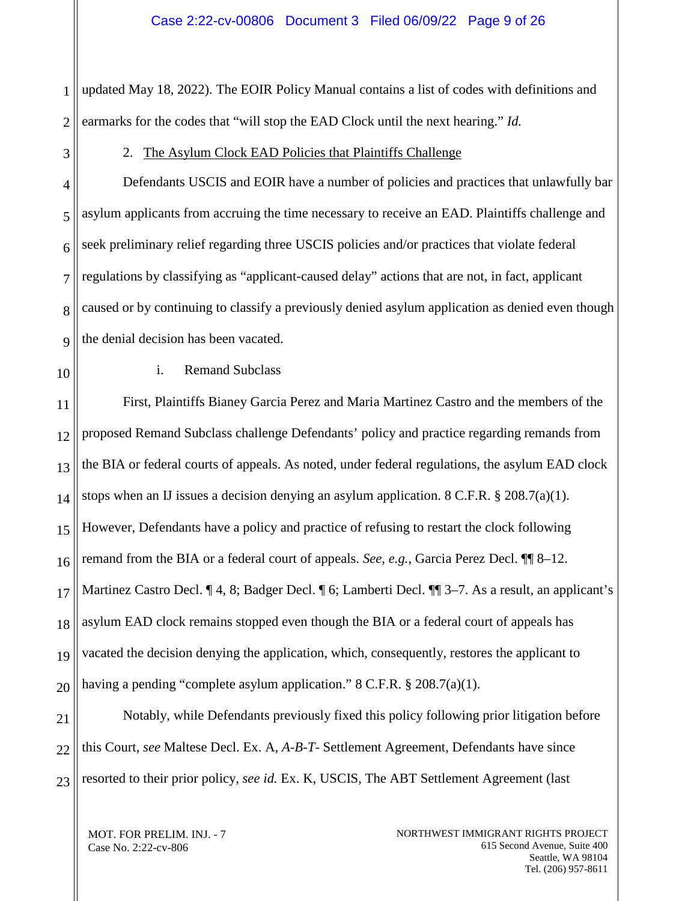1 2 updated May 18, 2022). The EOIR Policy Manual contains a list of codes with definitions and earmarks for the codes that "will stop the EAD Clock until the next hearing." *Id.*

<span id="page-8-0"></span>3

2. The Asylum Clock EAD Policies that Plaintiffs Challenge

4 5 6 7 8  $\overline{Q}$ Defendants USCIS and EOIR have a number of policies and practices that unlawfully bar asylum applicants from accruing the time necessary to receive an EAD. Plaintiffs challenge and seek preliminary relief regarding three USCIS policies and/or practices that violate federal regulations by classifying as "applicant-caused delay" actions that are not, in fact, applicant caused or by continuing to classify a previously denied asylum application as denied even though the denial decision has been vacated.

10

i. Remand Subclass

11 12 13 14 15 16 17 18 19 20 First, Plaintiffs Bianey Garcia Perez and Maria Martinez Castro and the members of the proposed Remand Subclass challenge Defendants' policy and practice regarding remands from the BIA or federal courts of appeals. As noted, under federal regulations, the asylum EAD clock stops when an IJ issues a decision denying an asylum application. 8 C.F.R. § 208.7(a)(1). However, Defendants have a policy and practice of refusing to restart the clock following remand from the BIA or a federal court of appeals. *See, e.g.*, Garcia Perez Decl. ¶¶ 8–12. Martinez Castro Decl. ¶ 4, 8; Badger Decl. ¶ 6; Lamberti Decl. ¶¶ 3–7. As a result, an applicant's asylum EAD clock remains stopped even though the BIA or a federal court of appeals has vacated the decision denying the application, which, consequently, restores the applicant to having a pending "complete asylum application." 8 C.F.R. § 208.7(a)(1).

21 22 23 Notably, while Defendants previously fixed this policy following prior litigation before this Court, *see* Maltese Decl. Ex. A, *A-B-T-* Settlement Agreement, Defendants have since resorted to their prior policy, *see id.* Ex. K, USCIS, The ABT Settlement Agreement (last

MOT. FOR PRELIM. INJ. - 7 Case No. 2:22-cv-806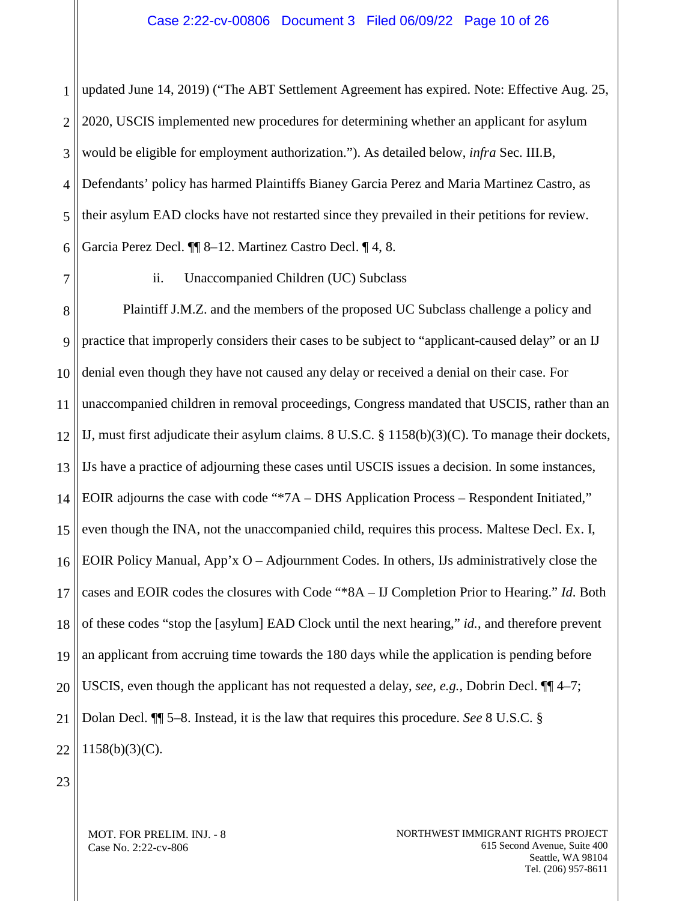1 2 3 4 5 6 updated June 14, 2019) ("The ABT Settlement Agreement has expired. Note: Effective Aug. 25, 2020, USCIS implemented new procedures for determining whether an applicant for asylum would be eligible for employment authorization."). As detailed below, *infra* Sec. III.B, Defendants' policy has harmed Plaintiffs Bianey Garcia Perez and Maria Martinez Castro, as their asylum EAD clocks have not restarted since they prevailed in their petitions for review. Garcia Perez Decl. ¶¶ 8–12. Martinez Castro Decl. ¶ 4, 8.

7

ii. Unaccompanied Children (UC) Subclass

8 9 10 11 12 13 14 15 16 17 18 19 20 21 22 Plaintiff J.M.Z. and the members of the proposed UC Subclass challenge a policy and practice that improperly considers their cases to be subject to "applicant-caused delay" or an IJ denial even though they have not caused any delay or received a denial on their case. For unaccompanied children in removal proceedings, Congress mandated that USCIS, rather than an IJ, must first adjudicate their asylum claims.  $8 \text{ U.S.C.} \$   $\frac{8}{1158(b)(3)(C)}$ . To manage their dockets, IJs have a practice of adjourning these cases until USCIS issues a decision. In some instances, EOIR adjourns the case with code "\*7A – DHS Application Process – Respondent Initiated," even though the INA, not the unaccompanied child, requires this process. Maltese Decl. Ex. I, EOIR Policy Manual, App'x  $O - Adj$ ournment Codes. In others, IJs administratively close the cases and EOIR codes the closures with Code "\*8A – IJ Completion Prior to Hearing." *Id*. Both of these codes "stop the [asylum] EAD Clock until the next hearing," *id.*, and therefore prevent an applicant from accruing time towards the 180 days while the application is pending before USCIS, even though the applicant has not requested a delay, *see, e.g.*, Dobrin Decl. ¶¶ 4–7; Dolan Decl. ¶¶ 5–8. Instead, it is the law that requires this procedure. *See* 8 U.S.C. § 1158(b)(3)(C).

23

MOT. FOR PRELIM. INJ. - 8 Case No. 2:22-cv-806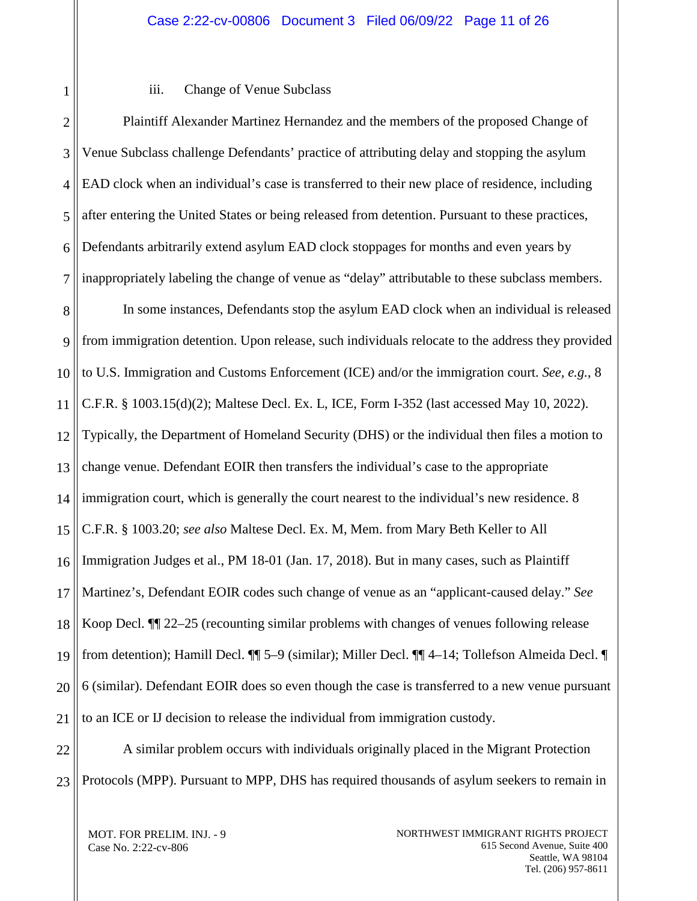#### iii. Change of Venue Subclass

1

2 3 4 5 6 7 8 9 10 11 12 13 14 15 16 17 18 19 20 21 Plaintiff Alexander Martinez Hernandez and the members of the proposed Change of Venue Subclass challenge Defendants' practice of attributing delay and stopping the asylum EAD clock when an individual's case is transferred to their new place of residence, including after entering the United States or being released from detention. Pursuant to these practices, Defendants arbitrarily extend asylum EAD clock stoppages for months and even years by inappropriately labeling the change of venue as "delay" attributable to these subclass members. In some instances, Defendants stop the asylum EAD clock when an individual is released from immigration detention. Upon release, such individuals relocate to the address they provided to U.S. Immigration and Customs Enforcement (ICE) and/or the immigration court. *See, e.g.*, 8 C.F.R. § 1003.15(d)(2); Maltese Decl. Ex. L, ICE, Form I-352 (last accessed May 10, 2022). Typically, the Department of Homeland Security (DHS) or the individual then files a motion to change venue. Defendant EOIR then transfers the individual's case to the appropriate immigration court, which is generally the court nearest to the individual's new residence. 8 C.F.R. § 1003.20; *see also* Maltese Decl. Ex. M, Mem. from Mary Beth Keller to All Immigration Judges et al., PM 18-01 (Jan. 17, 2018). But in many cases, such as Plaintiff Martinez's, Defendant EOIR codes such change of venue as an "applicant-caused delay." *See* Koop Decl. ¶¶ 22–25 (recounting similar problems with changes of venues following release from detention); Hamill Decl. ¶¶ 5–9 (similar); Miller Decl. ¶¶ 4–14; Tollefson Almeida Decl. ¶ 6 (similar). Defendant EOIR does so even though the case is transferred to a new venue pursuant to an ICE or IJ decision to release the individual from immigration custody.

22 23 A similar problem occurs with individuals originally placed in the Migrant Protection Protocols (MPP). Pursuant to MPP, DHS has required thousands of asylum seekers to remain in

MOT. FOR PRELIM. INJ. - 9 Case No. 2:22-cv-806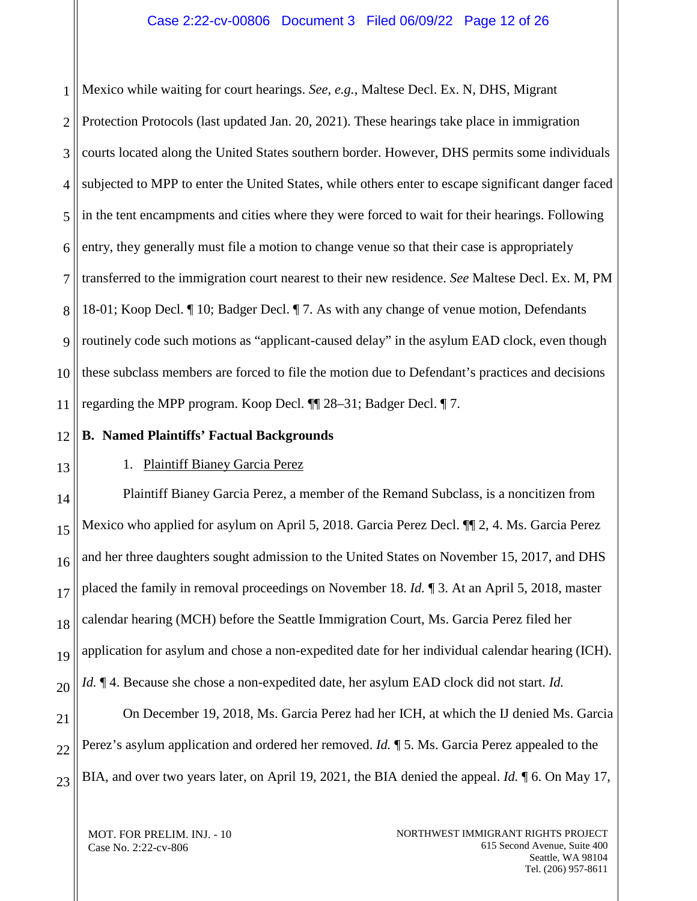1 2 3 4 5 6 7 8 9 10 11 Mexico while waiting for court hearings. *See, e.g.*, Maltese Decl. Ex. N, DHS, Migrant Protection Protocols (last updated Jan. 20, 2021). These hearings take place in immigration courts located along the United States southern border. However, DHS permits some individuals subjected to MPP to enter the United States, while others enter to escape significant danger faced in the tent encampments and cities where they were forced to wait for their hearings. Following entry, they generally must file a motion to change venue so that their case is appropriately transferred to the immigration court nearest to their new residence. *See* Maltese Decl. Ex. M, PM 18-01; Koop Decl. ¶ 10; Badger Decl. ¶ 7. As with any change of venue motion, Defendants routinely code such motions as "applicant-caused delay" in the asylum EAD clock, even though these subclass members are forced to file the motion due to Defendant's practices and decisions regarding the MPP program. Koop Decl. ¶¶ 28–31; Badger Decl. ¶ 7.

12

# <span id="page-11-0"></span>**B. Named Plaintiffs' Factual Backgrounds**

# <span id="page-11-1"></span>13

# 1. Plaintiff Bianey Garcia Perez

14 15 16 17 18 19 20 21 22 Plaintiff Bianey Garcia Perez, a member of the Remand Subclass, is a noncitizen from Mexico who applied for asylum on April 5, 2018. Garcia Perez Decl. ¶¶ 2, 4. Ms. Garcia Perez and her three daughters sought admission to the United States on November 15, 2017, and DHS placed the family in removal proceedings on November 18. *Id.* ¶ 3. At an April 5, 2018, master calendar hearing (MCH) before the Seattle Immigration Court, Ms. Garcia Perez filed her application for asylum and chose a non-expedited date for her individual calendar hearing (ICH). *Id.* ¶ 4. Because she chose a non-expedited date, her asylum EAD clock did not start. *Id.* On December 19, 2018, Ms. Garcia Perez had her ICH, at which the IJ denied Ms. Garcia Perez's asylum application and ordered her removed. *Id.* ¶ 5. Ms. Garcia Perez appealed to the

23 BIA, and over two years later, on April 19, 2021, the BIA denied the appeal. *Id.* ¶ 6. On May 17,

MOT. FOR PRELIM. INJ. - 10 Case No. 2:22-cv-806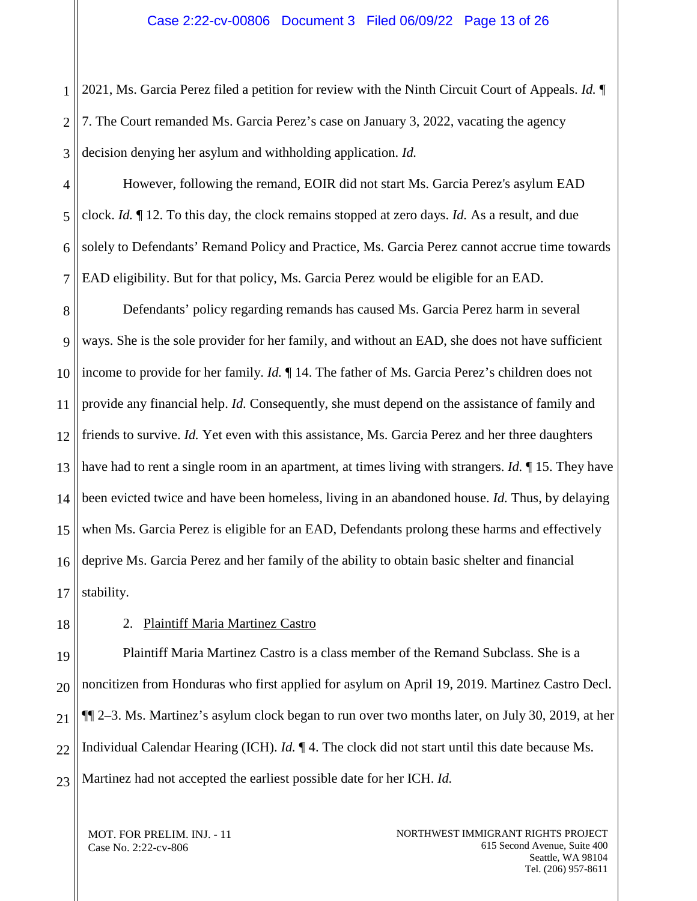1 2 3 2021, Ms. Garcia Perez filed a petition for review with the Ninth Circuit Court of Appeals. *Id.* ¶ 7. The Court remanded Ms. Garcia Perez's case on January 3, 2022, vacating the agency decision denying her asylum and withholding application. *Id.*

4 5 6 7 However, following the remand, EOIR did not start Ms. Garcia Perez's asylum EAD clock. *Id.* ¶ 12. To this day, the clock remains stopped at zero days. *Id.* As a result, and due solely to Defendants' Remand Policy and Practice, Ms. Garcia Perez cannot accrue time towards EAD eligibility. But for that policy, Ms. Garcia Perez would be eligible for an EAD.

8 9 10 11 12 13 14 15 16 17 Defendants' policy regarding remands has caused Ms. Garcia Perez harm in several ways. She is the sole provider for her family, and without an EAD, she does not have sufficient income to provide for her family. *Id.* ¶ 14. The father of Ms. Garcia Perez's children does not provide any financial help. *Id.* Consequently, she must depend on the assistance of family and friends to survive. *Id.* Yet even with this assistance, Ms. Garcia Perez and her three daughters have had to rent a single room in an apartment, at times living with strangers. *Id.* ¶ 15. They have been evicted twice and have been homeless, living in an abandoned house. *Id.* Thus, by delaying when Ms. Garcia Perez is eligible for an EAD, Defendants prolong these harms and effectively deprive Ms. Garcia Perez and her family of the ability to obtain basic shelter and financial stability.

<span id="page-12-0"></span>18

# 2. Plaintiff Maria Martinez Castro

19 20 21 22 23 Plaintiff Maria Martinez Castro is a class member of the Remand Subclass. She is a noncitizen from Honduras who first applied for asylum on April 19, 2019. Martinez Castro Decl. ¶¶ 2–3. Ms. Martinez's asylum clock began to run over two months later, on July 30, 2019, at her Individual Calendar Hearing (ICH). *Id.* ¶ 4. The clock did not start until this date because Ms. Martinez had not accepted the earliest possible date for her ICH. *Id.*

MOT. FOR PRELIM. INJ. - 11 Case No. 2:22-cv-806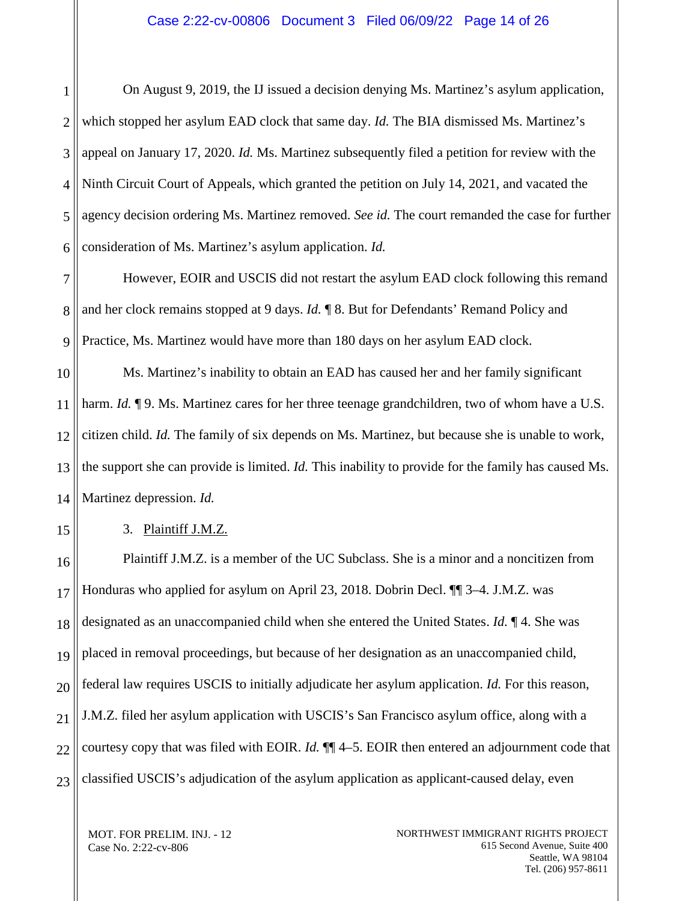#### Case 2:22-cv-00806 Document 3 Filed 06/09/22 Page 14 of 26

1 2 3 4 5 6 On August 9, 2019, the IJ issued a decision denying Ms. Martinez's asylum application, which stopped her asylum EAD clock that same day. *Id.* The BIA dismissed Ms. Martinez's appeal on January 17, 2020. *Id.* Ms. Martinez subsequently filed a petition for review with the Ninth Circuit Court of Appeals, which granted the petition on July 14, 2021, and vacated the agency decision ordering Ms. Martinez removed. *See id.* The court remanded the case for further consideration of Ms. Martinez's asylum application. *Id.*

7 8 9 However, EOIR and USCIS did not restart the asylum EAD clock following this remand and her clock remains stopped at 9 days. *Id.* ¶ 8. But for Defendants' Remand Policy and Practice, Ms. Martinez would have more than 180 days on her asylum EAD clock.

10 11 12 13 14 Ms. Martinez's inability to obtain an EAD has caused her and her family significant harm. *Id.*  $\P$ 9. Ms. Martinez cares for her three teenage grandchildren, two of whom have a U.S. citizen child. *Id.* The family of six depends on Ms. Martinez, but because she is unable to work, the support she can provide is limited. *Id.* This inability to provide for the family has caused Ms. Martinez depression. *Id.*

<span id="page-13-0"></span>15

3. Plaintiff J.M.Z.

16 17 18 19 20 21 22 23 Plaintiff J.M.Z. is a member of the UC Subclass. She is a minor and a noncitizen from Honduras who applied for asylum on April 23, 2018. Dobrin Decl. ¶¶ 3–4. J.M.Z. was designated as an unaccompanied child when she entered the United States. *Id.* ¶ 4. She was placed in removal proceedings, but because of her designation as an unaccompanied child, federal law requires USCIS to initially adjudicate her asylum application. *Id.* For this reason, J.M.Z. filed her asylum application with USCIS's San Francisco asylum office, along with a courtesy copy that was filed with EOIR. *Id.* ¶¶ 4–5. EOIR then entered an adjournment code that classified USCIS's adjudication of the asylum application as applicant-caused delay, even

MOT. FOR PRELIM. INJ. - 12 Case No. 2:22-cv-806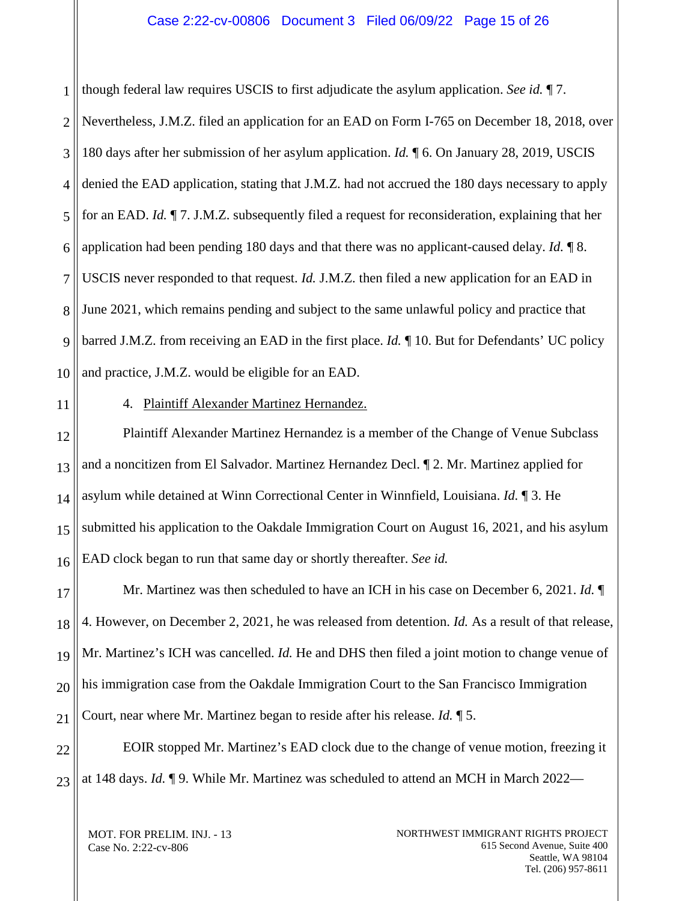#### Case 2:22-cv-00806 Document 3 Filed 06/09/22 Page 15 of 26

1 2 3 4 5 6 7 8 9 10 though federal law requires USCIS to first adjudicate the asylum application. *See id.* ¶ 7. Nevertheless, J.M.Z. filed an application for an EAD on Form I-765 on December 18, 2018, over 180 days after her submission of her asylum application. *Id.* ¶ 6. On January 28, 2019, USCIS denied the EAD application, stating that J.M.Z. had not accrued the 180 days necessary to apply for an EAD. *Id.* ¶ 7. J.M.Z. subsequently filed a request for reconsideration, explaining that her application had been pending 180 days and that there was no applicant-caused delay. *Id.* ¶ 8. USCIS never responded to that request. *Id.* J.M.Z. then filed a new application for an EAD in June 2021, which remains pending and subject to the same unlawful policy and practice that barred J.M.Z. from receiving an EAD in the first place. *Id.* ¶ 10. But for Defendants' UC policy and practice, J.M.Z. would be eligible for an EAD.

<span id="page-14-0"></span>11

4. Plaintiff Alexander Martinez Hernandez.

12 13 14 15 16 Plaintiff Alexander Martinez Hernandez is a member of the Change of Venue Subclass and a noncitizen from El Salvador. Martinez Hernandez Decl. ¶ 2. Mr. Martinez applied for asylum while detained at Winn Correctional Center in Winnfield, Louisiana. *Id.* ¶ 3. He submitted his application to the Oakdale Immigration Court on August 16, 2021, and his asylum EAD clock began to run that same day or shortly thereafter. *See id.*

17 18 19 20 21 Mr. Martinez was then scheduled to have an ICH in his case on December 6, 2021. *Id.* ¶ 4. However, on December 2, 2021, he was released from detention. *Id.* As a result of that release, Mr. Martinez's ICH was cancelled. *Id.* He and DHS then filed a joint motion to change venue of his immigration case from the Oakdale Immigration Court to the San Francisco Immigration Court, near where Mr. Martinez began to reside after his release. *Id.* ¶ 5.

22 23 EOIR stopped Mr. Martinez's EAD clock due to the change of venue motion, freezing it at 148 days. *Id.* ¶ 9. While Mr. Martinez was scheduled to attend an MCH in March 2022—

MOT. FOR PRELIM. INJ. - 13 Case No. 2:22-cv-806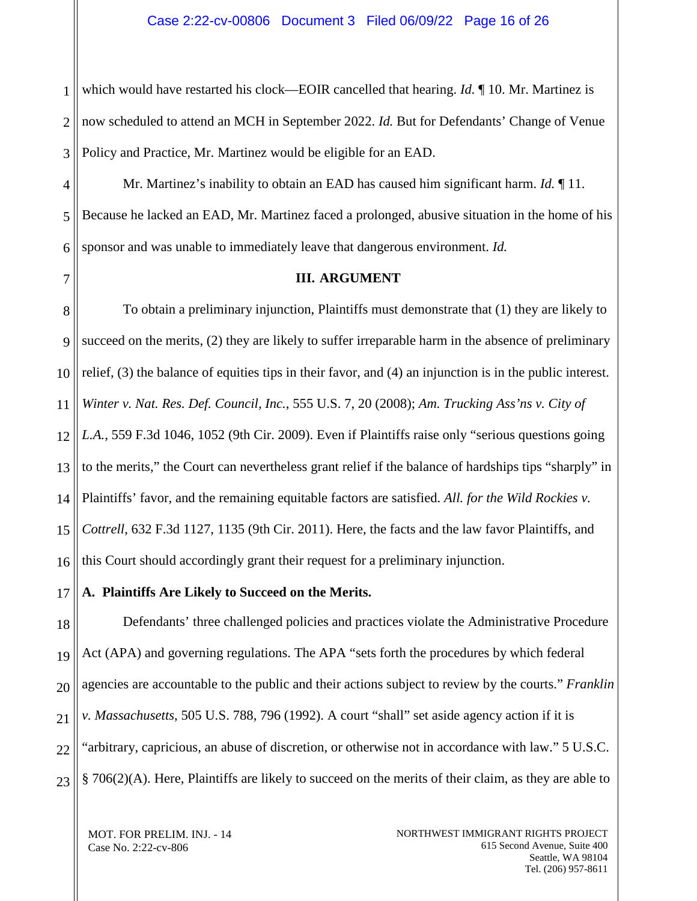1 2 3 which would have restarted his clock—EOIR cancelled that hearing. *Id.* ¶ 10. Mr. Martinez is now scheduled to attend an MCH in September 2022. *Id.* But for Defendants' Change of Venue Policy and Practice, Mr. Martinez would be eligible for an EAD.

4 5 6 Mr. Martinez's inability to obtain an EAD has caused him significant harm. *Id.* ¶ 11. Because he lacked an EAD, Mr. Martinez faced a prolonged, abusive situation in the home of his sponsor and was unable to immediately leave that dangerous environment. *Id.*

7

## <span id="page-15-0"></span>**III. ARGUMENT**

8 9 10 11 12 13 14 15 16 To obtain a preliminary injunction, Plaintiffs must demonstrate that (1) they are likely to succeed on the merits, (2) they are likely to suffer irreparable harm in the absence of preliminary relief, (3) the balance of equities tips in their favor, and (4) an injunction is in the public interest. *Winter v. Nat. Res. Def. Council, Inc.*, 555 U.S. 7, 20 (2008); *Am. Trucking Ass'ns v. City of L.A.*, 559 F.3d 1046, 1052 (9th Cir. 2009). Even if Plaintiffs raise only "serious questions going to the merits," the Court can nevertheless grant relief if the balance of hardships tips "sharply" in Plaintiffs' favor, and the remaining equitable factors are satisfied. *All. for the Wild Rockies v. Cottrell*, 632 F.3d 1127, 1135 (9th Cir. 2011). Here, the facts and the law favor Plaintiffs, and this Court should accordingly grant their request for a preliminary injunction.

<span id="page-15-1"></span>17 **A. Plaintiffs Are Likely to Succeed on the Merits.**

18 19 20 21 22 23 Defendants' three challenged policies and practices violate the Administrative Procedure Act (APA) and governing regulations. The APA "sets forth the procedures by which federal agencies are accountable to the public and their actions subject to review by the courts." *Franklin v. Massachusetts*, 505 U.S. 788, 796 (1992). A court "shall" set aside agency action if it is "arbitrary, capricious, an abuse of discretion, or otherwise not in accordance with law." 5 U.S.C. § 706(2)(A). Here, Plaintiffs are likely to succeed on the merits of their claim, as they are able to

MOT. FOR PRELIM. INJ. - 14 Case No. 2:22-cv-806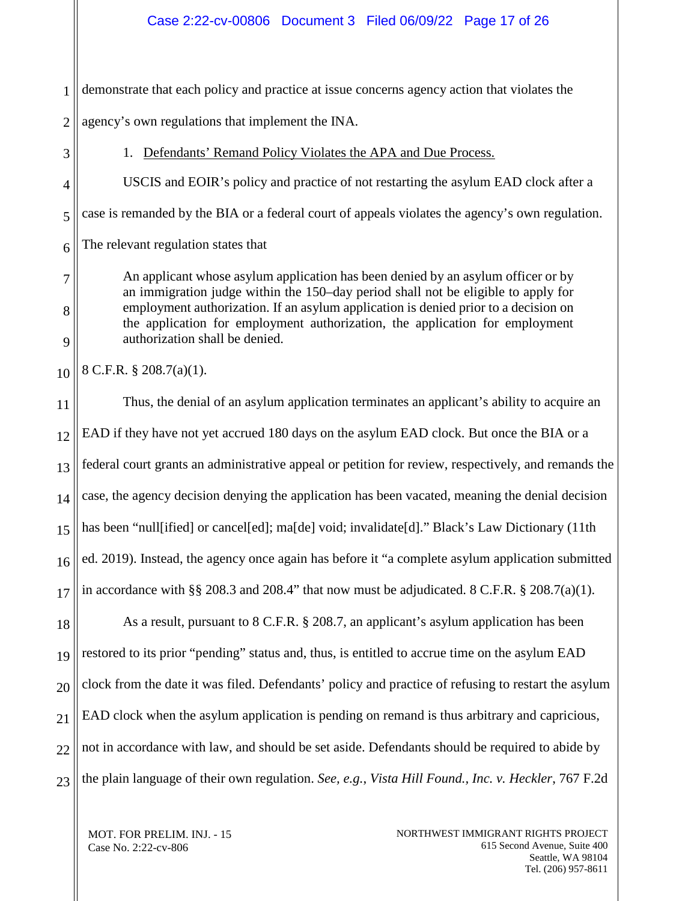1 demonstrate that each policy and practice at issue concerns agency action that violates the

2 agency's own regulations that implement the INA.

8

9

1. Defendants' Remand Policy Violates the APA and Due Process.

<span id="page-16-0"></span>USCIS and EOIR's policy and practice of not restarting the asylum EAD clock after a

case is remanded by the BIA or a federal court of appeals violates the agency's own regulation.

The relevant regulation states that

An applicant whose asylum application has been denied by an asylum officer or by an immigration judge within the 150–day period shall not be eligible to apply for employment authorization. If an asylum application is denied prior to a decision on the application for employment authorization, the application for employment authorization shall be denied.

10 8 C.F.R. § 208.7(a)(1).

11 12 13 14 15 16 17 Thus, the denial of an asylum application terminates an applicant's ability to acquire an EAD if they have not yet accrued 180 days on the asylum EAD clock. But once the BIA or a federal court grants an administrative appeal or petition for review, respectively, and remands the case, the agency decision denying the application has been vacated, meaning the denial decision has been "null[ified] or cancel[ed]; ma[de] void; invalidate[d]." Black's Law Dictionary (11th ed. 2019). Instead, the agency once again has before it "a complete asylum application submitted in accordance with §§ 208.3 and 208.4" that now must be adjudicated.  $8 \text{ C.F.R.}$  § 208.7(a)(1).

18 19 20 21 22 23 As a result, pursuant to 8 C.F.R. § 208.7, an applicant's asylum application has been restored to its prior "pending" status and, thus, is entitled to accrue time on the asylum EAD clock from the date it was filed. Defendants' policy and practice of refusing to restart the asylum EAD clock when the asylum application is pending on remand is thus arbitrary and capricious, not in accordance with law, and should be set aside. Defendants should be required to abide by the plain language of their own regulation. *See, e.g.*, *Vista Hill Found., Inc. v. Heckler*, 767 F.2d

MOT. FOR PRELIM. INJ. - 15 Case No. 2:22-cv-806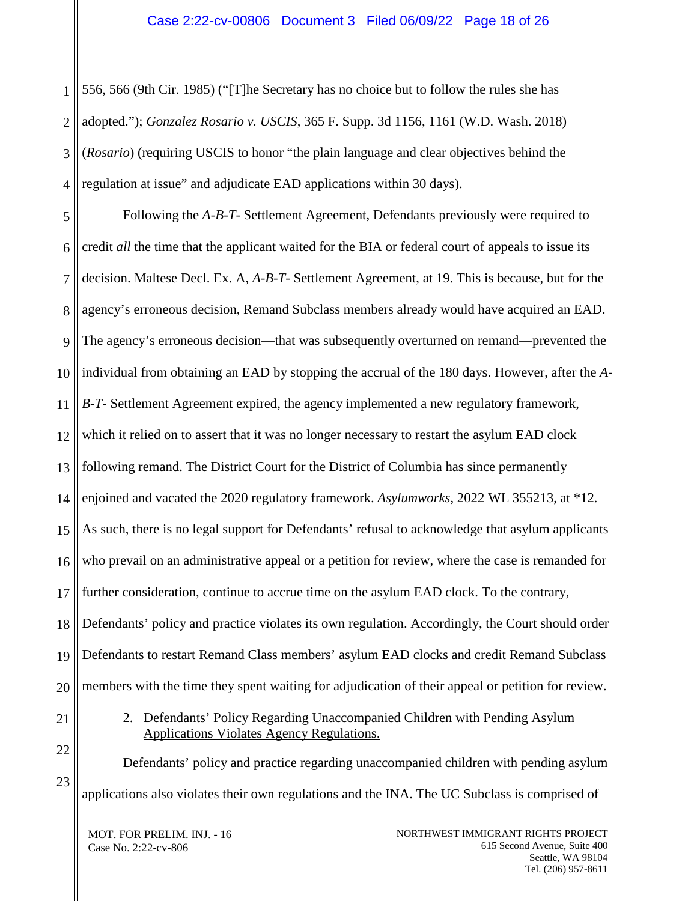1 2 3 4 556, 566 (9th Cir. 1985) ("[T]he Secretary has no choice but to follow the rules she has adopted."); *Gonzalez Rosario v. USCIS*, 365 F. Supp. 3d 1156, 1161 (W.D. Wash. 2018) (*Rosario*) (requiring USCIS to honor "the plain language and clear objectives behind the regulation at issue" and adjudicate EAD applications within 30 days).

5 6 7 8 9 10 11 12 13 14 15 16 17 18 19 20 Following the *A-B-T-* Settlement Agreement, Defendants previously were required to credit *all* the time that the applicant waited for the BIA or federal court of appeals to issue its decision. Maltese Decl. Ex. A, *A-B-T-* Settlement Agreement, at 19. This is because, but for the agency's erroneous decision, Remand Subclass members already would have acquired an EAD. The agency's erroneous decision—that was subsequently overturned on remand—prevented the individual from obtaining an EAD by stopping the accrual of the 180 days. However, after the *A-B-T-* Settlement Agreement expired, the agency implemented a new regulatory framework, which it relied on to assert that it was no longer necessary to restart the asylum EAD clock following remand. The District Court for the District of Columbia has since permanently enjoined and vacated the 2020 regulatory framework. *Asylumworks*, 2022 WL 355213, at \*12. As such, there is no legal support for Defendants' refusal to acknowledge that asylum applicants who prevail on an administrative appeal or a petition for review, where the case is remanded for further consideration, continue to accrue time on the asylum EAD clock. To the contrary, Defendants' policy and practice violates its own regulation. Accordingly, the Court should order Defendants to restart Remand Class members' asylum EAD clocks and credit Remand Subclass members with the time they spent waiting for adjudication of their appeal or petition for review.

> 2. Defendants' Policy Regarding Unaccompanied Children with Pending Asylum Applications Violates Agency Regulations.

Defendants' policy and practice regarding unaccompanied children with pending asylum applications also violates their own regulations and the INA. The UC Subclass is comprised of

MOT. FOR PRELIM. INJ. - 16 Case No. 2:22-cv-806

<span id="page-17-0"></span>21

22

23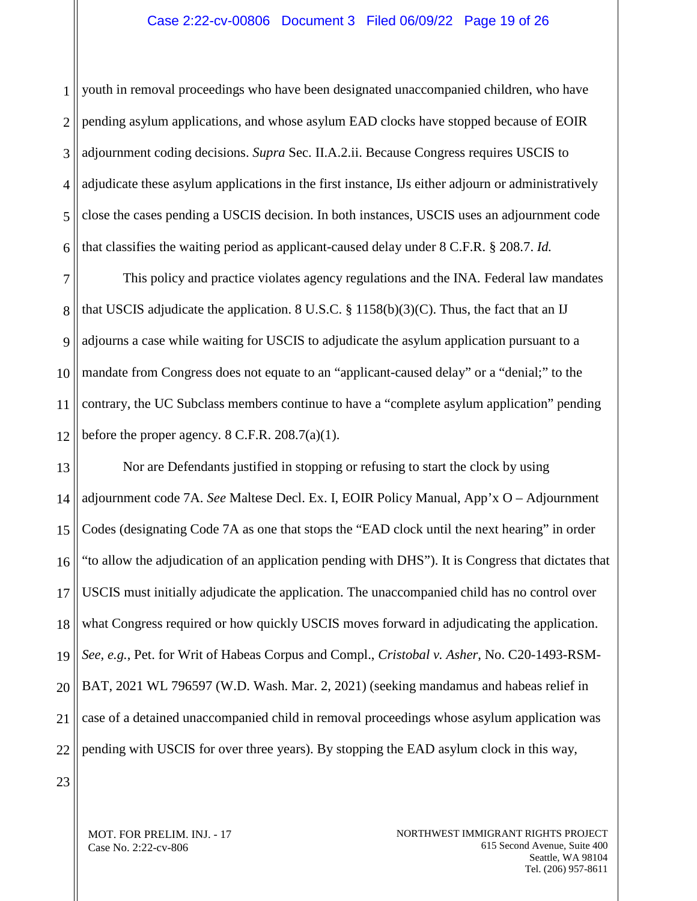#### Case 2:22-cv-00806 Document 3 Filed 06/09/22 Page 19 of 26

1 2 3 4 5 6 youth in removal proceedings who have been designated unaccompanied children, who have pending asylum applications, and whose asylum EAD clocks have stopped because of EOIR adjournment coding decisions. *Supra* Sec. II.A.2.ii. Because Congress requires USCIS to adjudicate these asylum applications in the first instance, IJs either adjourn or administratively close the cases pending a USCIS decision. In both instances, USCIS uses an adjournment code that classifies the waiting period as applicant-caused delay under 8 C.F.R. § 208.7. *Id.*

7 8 9 10 11 12 This policy and practice violates agency regulations and the INA*.* Federal law mandates that USCIS adjudicate the application. 8 U.S.C.  $\S 1158(b)(3)(C)$ . Thus, the fact that an IJ adjourns a case while waiting for USCIS to adjudicate the asylum application pursuant to a mandate from Congress does not equate to an "applicant-caused delay" or a "denial;" to the contrary, the UC Subclass members continue to have a "complete asylum application" pending before the proper agency.  $8 \text{ C.F.R. } 208.7(a)(1)$ .

13 14 15 16 17 18 19 20 21 22 Nor are Defendants justified in stopping or refusing to start the clock by using adjournment code 7A. *See* Maltese Decl. Ex. I, EOIR Policy Manual, App'x O – Adjournment Codes (designating Code 7A as one that stops the "EAD clock until the next hearing" in order "to allow the adjudication of an application pending with DHS"). It is Congress that dictates that USCIS must initially adjudicate the application. The unaccompanied child has no control over what Congress required or how quickly USCIS moves forward in adjudicating the application. *See, e.g.*, Pet. for Writ of Habeas Corpus and Compl., *Cristobal v. Asher*, No. C20-1493-RSM-BAT, 2021 WL 796597 (W.D. Wash. Mar. 2, 2021) (seeking mandamus and habeas relief in case of a detained unaccompanied child in removal proceedings whose asylum application was pending with USCIS for over three years). By stopping the EAD asylum clock in this way,

23

MOT. FOR PRELIM. INJ. - 17 Case No. 2:22-cv-806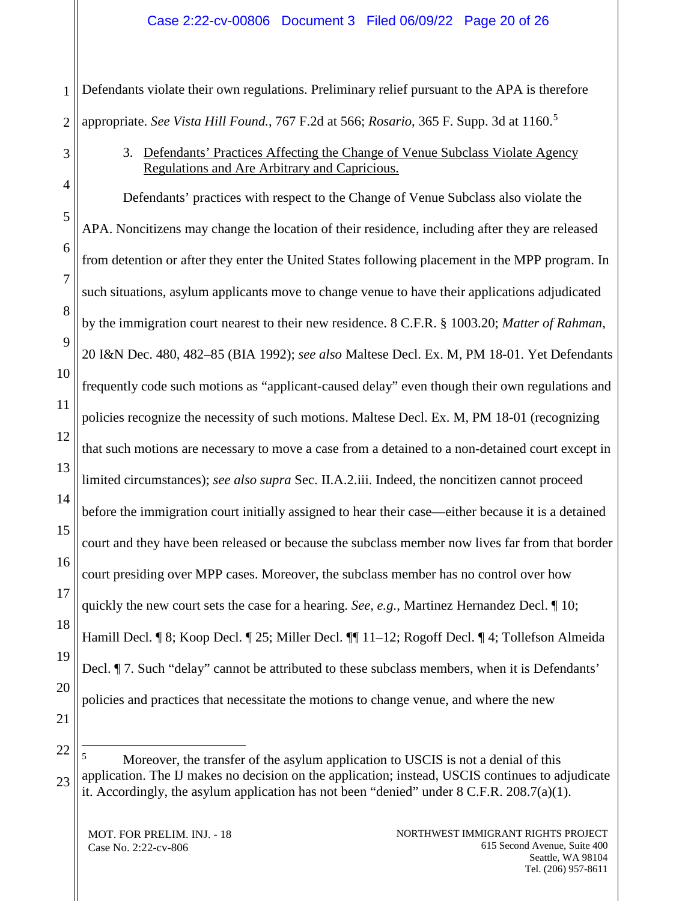#### Case 2:22-cv-00806 Document 3 Filed 06/09/22 Page 20 of 26

1 2 Defendants violate their own regulations. Preliminary relief pursuant to the APA is therefore appropriate. *See Vista Hill Found.*, 767 F.2d at 566; *Rosario*, 365 F. Supp. 3d at 1160.[5](#page-19-1)

> 3. Defendants' Practices Affecting the Change of Venue Subclass Violate Agency Regulations and Are Arbitrary and Capricious.

4 5 6 7 8 9 10 11 12 13 14 15 16 17 18 19 20 21 Defendants' practices with respect to the Change of Venue Subclass also violate the APA. Noncitizens may change the location of their residence, including after they are released from detention or after they enter the United States following placement in the MPP program. In such situations, asylum applicants move to change venue to have their applications adjudicated by the immigration court nearest to their new residence. 8 C.F.R. § 1003.20; *Matter of Rahman*, 20 I&N Dec. 480, 482–85 (BIA 1992); *see also* Maltese Decl. Ex. M, PM 18-01. Yet Defendants frequently code such motions as "applicant-caused delay" even though their own regulations and policies recognize the necessity of such motions. Maltese Decl. Ex. M, PM 18-01 (recognizing that such motions are necessary to move a case from a detained to a non-detained court except in limited circumstances); *see also supra* Sec. II.A.2.iii. Indeed, the noncitizen cannot proceed before the immigration court initially assigned to hear their case—either because it is a detained court and they have been released or because the subclass member now lives far from that border court presiding over MPP cases. Moreover, the subclass member has no control over how quickly the new court sets the case for a hearing. *See, e.g.*, Martinez Hernandez Decl. ¶ 10; Hamill Decl. ¶ 8; Koop Decl. ¶ 25; Miller Decl. ¶¶ 11–12; Rogoff Decl. ¶ 4; Tollefson Almeida Decl. *¶* 7. Such "delay" cannot be attributed to these subclass members, when it is Defendants' policies and practices that necessitate the motions to change venue, and where the new

<span id="page-19-1"></span>22 23 Moreover, the transfer of the asylum application to USCIS is not a denial of this application. The IJ makes no decision on the application; instead, USCIS continues to adjudicate it. Accordingly, the asylum application has not been "denied" under  $8 \text{ C.F.R. } 208.7(a)(1)$ .

MOT. FOR PRELIM. INJ. - 18 Case No. 2:22-cv-806

<span id="page-19-0"></span>3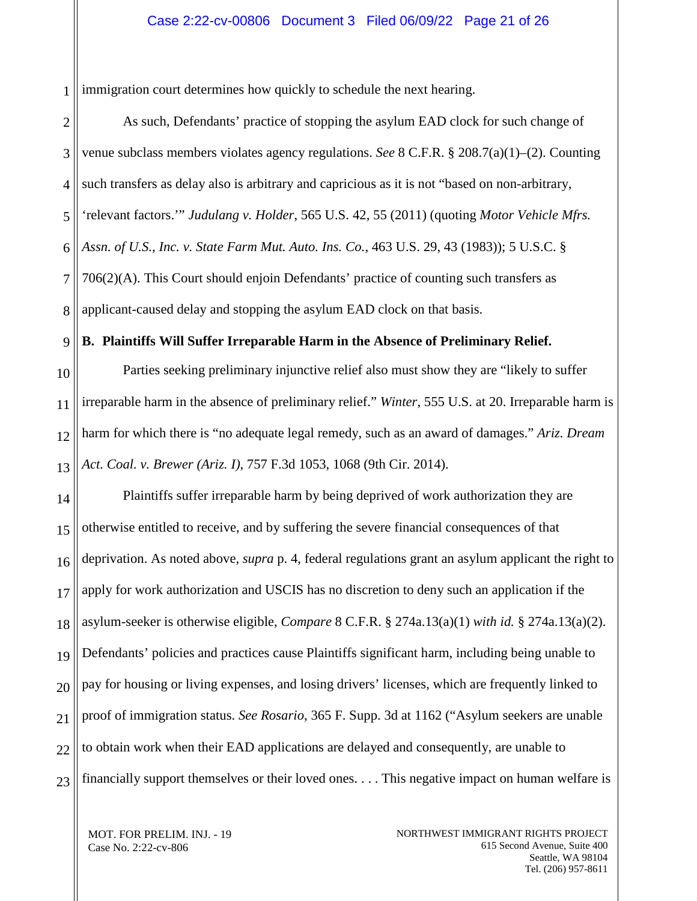#### Case 2:22-cv-00806 Document 3 Filed 06/09/22 Page 21 of 26

1 immigration court determines how quickly to schedule the next hearing.

2 3 4 5 6 7 8 As such, Defendants' practice of stopping the asylum EAD clock for such change of venue subclass members violates agency regulations. *See* 8 C.F.R. § 208.7(a)(1)–(2). Counting such transfers as delay also is arbitrary and capricious as it is not "based on non-arbitrary, 'relevant factors.'" *Judulang v. Holder*, 565 U.S. 42, 55 (2011) (quoting *Motor Vehicle Mfrs. Assn. of U.S., Inc. v. State Farm Mut. Auto. Ins. Co.*, 463 U.S. 29, 43 (1983)); 5 U.S.C. § 706(2)(A). This Court should enjoin Defendants' practice of counting such transfers as applicant-caused delay and stopping the asylum EAD clock on that basis.

<span id="page-20-0"></span>9 **B. Plaintiffs Will Suffer Irreparable Harm in the Absence of Preliminary Relief.**

10 11 12 13 Parties seeking preliminary injunctive relief also must show they are "likely to suffer irreparable harm in the absence of preliminary relief." *Winter*, 555 U.S. at 20. Irreparable harm is harm for which there is "no adequate legal remedy, such as an award of damages." *Ariz. Dream Act. Coal. v. Brewer (Ariz. I)*, 757 F.3d 1053, 1068 (9th Cir. 2014).

14 15 16 17 18 19 20 21 22 23 Plaintiffs suffer irreparable harm by being deprived of work authorization they are otherwise entitled to receive, and by suffering the severe financial consequences of that deprivation. As noted above, *supra* p. 4, federal regulations grant an asylum applicant the right to apply for work authorization and USCIS has no discretion to deny such an application if the asylum-seeker is otherwise eligible, *Compare* 8 C.F.R. § 274a.13(a)(1) *with id.* § 274a.13(a)(2). Defendants' policies and practices cause Plaintiffs significant harm, including being unable to pay for housing or living expenses, and losing drivers' licenses, which are frequently linked to proof of immigration status. *See Rosario*, 365 F. Supp. 3d at 1162 ("Asylum seekers are unable to obtain work when their EAD applications are delayed and consequently, are unable to financially support themselves or their loved ones. . . . This negative impact on human welfare is

MOT. FOR PRELIM. INJ. - 19 Case No. 2:22-cv-806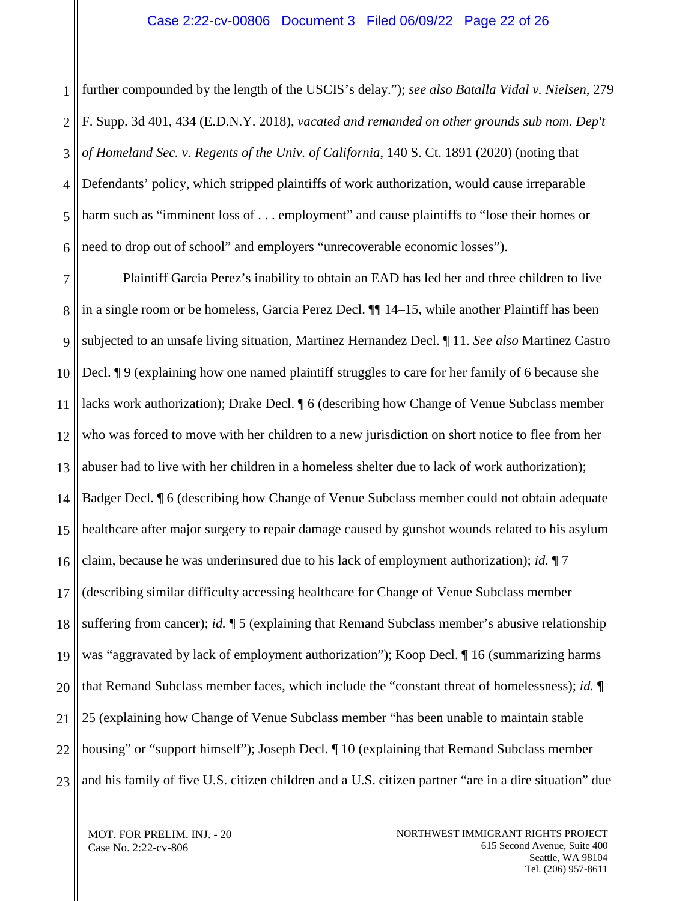1 2 3 4 5 6 further compounded by the length of the USCIS's delay."); *see also Batalla Vidal v. Nielsen*, 279 F. Supp. 3d 401, 434 (E.D.N.Y. 2018), *vacated and remanded on other grounds sub nom. Dep't of Homeland Sec. v. Regents of the Univ. of California*, 140 S. Ct. 1891 (2020) (noting that Defendants' policy, which stripped plaintiffs of work authorization, would cause irreparable harm such as "imminent loss of . . . employment" and cause plaintiffs to "lose their homes or need to drop out of school" and employers "unrecoverable economic losses").

7 8 9 10 11 12 13 14 15 16 17 18 19 20 21 22 23 Plaintiff Garcia Perez's inability to obtain an EAD has led her and three children to live in a single room or be homeless, Garcia Perez Decl. ¶¶ 14–15, while another Plaintiff has been subjected to an unsafe living situation, Martinez Hernandez Decl. ¶ 11. *See also* Martinez Castro Decl. ¶ 9 (explaining how one named plaintiff struggles to care for her family of 6 because she lacks work authorization); Drake Decl. ¶ 6 (describing how Change of Venue Subclass member who was forced to move with her children to a new jurisdiction on short notice to flee from her abuser had to live with her children in a homeless shelter due to lack of work authorization); Badger Decl. ¶ 6 (describing how Change of Venue Subclass member could not obtain adequate healthcare after major surgery to repair damage caused by gunshot wounds related to his asylum claim, because he was underinsured due to his lack of employment authorization); *id.* ¶ 7 (describing similar difficulty accessing healthcare for Change of Venue Subclass member suffering from cancer); *id.* ¶ 5 (explaining that Remand Subclass member's abusive relationship was "aggravated by lack of employment authorization"); Koop Decl. 16 (summarizing harms that Remand Subclass member faces, which include the "constant threat of homelessness); *id.* ¶ 25 (explaining how Change of Venue Subclass member "has been unable to maintain stable housing" or "support himself"); Joseph Decl.  $\P$  10 (explaining that Remand Subclass member and his family of five U.S. citizen children and a U.S. citizen partner "are in a dire situation" due

MOT. FOR PRELIM. INJ. - 20 Case No. 2:22-cv-806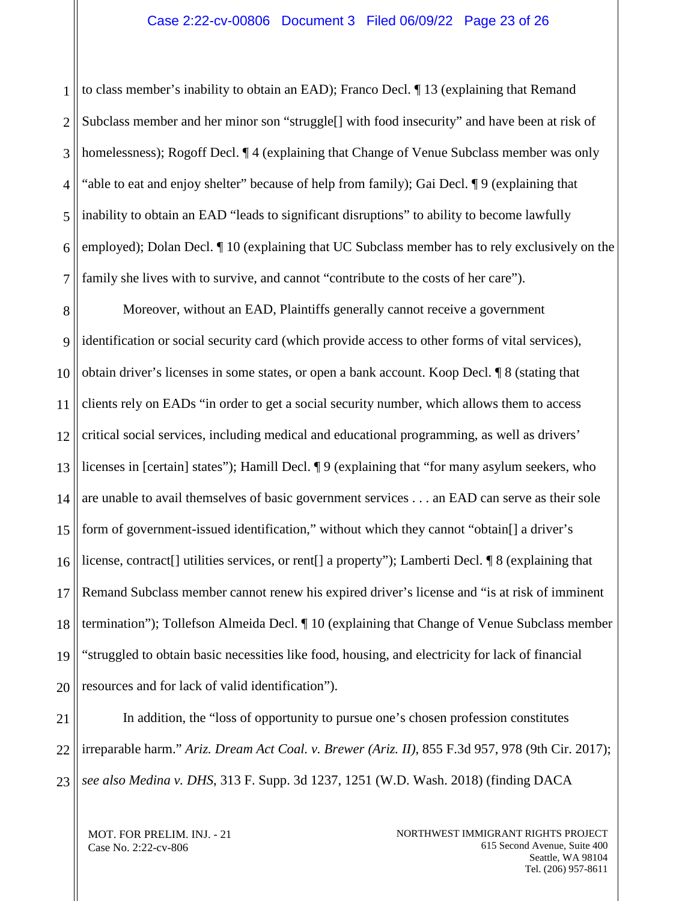#### Case 2:22-cv-00806 Document 3 Filed 06/09/22 Page 23 of 26

1 2 3 4 5 6 7 to class member's inability to obtain an EAD); Franco Decl. ¶ 13 (explaining that Remand Subclass member and her minor son "struggle[] with food insecurity" and have been at risk of homelessness); Rogoff Decl. ¶ 4 (explaining that Change of Venue Subclass member was only "able to eat and enjoy shelter" because of help from family); Gai Decl. ¶ 9 (explaining that inability to obtain an EAD "leads to significant disruptions" to ability to become lawfully employed); Dolan Decl. ¶ 10 (explaining that UC Subclass member has to rely exclusively on the family she lives with to survive, and cannot "contribute to the costs of her care").

8 9 10 11 12 13 14 15 16 17 18 19 20 Moreover, without an EAD, Plaintiffs generally cannot receive a government identification or social security card (which provide access to other forms of vital services), obtain driver's licenses in some states, or open a bank account. Koop Decl. ¶ 8 (stating that clients rely on EADs "in order to get a social security number, which allows them to access critical social services, including medical and educational programming, as well as drivers' licenses in [certain] states"); Hamill Decl. ¶ 9 (explaining that "for many asylum seekers, who are unable to avail themselves of basic government services . . . an EAD can serve as their sole form of government-issued identification," without which they cannot "obtain[] a driver's license, contract[] utilities services, or rent[] a property"); Lamberti Decl. ¶ 8 (explaining that Remand Subclass member cannot renew his expired driver's license and "is at risk of imminent termination"); Tollefson Almeida Decl. ¶ 10 (explaining that Change of Venue Subclass member "struggled to obtain basic necessities like food, housing, and electricity for lack of financial resources and for lack of valid identification").

21 22 23 In addition, the "loss of opportunity to pursue one's chosen profession constitutes irreparable harm." *Ariz. Dream Act Coal. v. Brewer (Ariz. II)*, 855 F.3d 957, 978 (9th Cir. 2017); *see also Medina v. DHS*, 313 F. Supp. 3d 1237, 1251 (W.D. Wash. 2018) (finding DACA

MOT. FOR PRELIM. INJ. - 21 Case No. 2:22-cv-806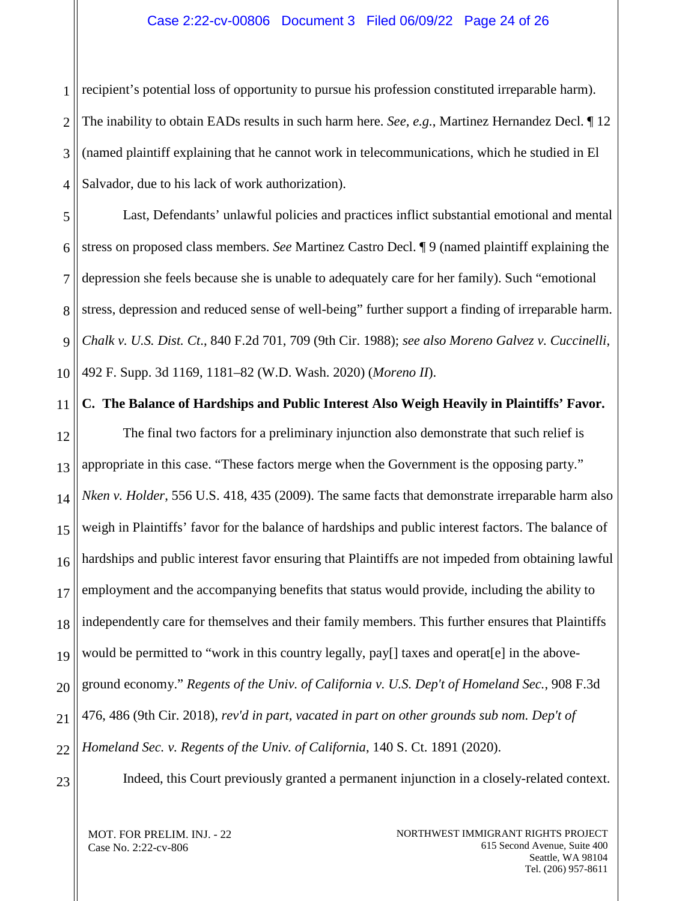#### Case 2:22-cv-00806 Document 3 Filed 06/09/22 Page 24 of 26

1 2 3 4 recipient's potential loss of opportunity to pursue his profession constituted irreparable harm). The inability to obtain EADs results in such harm here. *See, e.g.*, Martinez Hernandez Decl. ¶ 12 (named plaintiff explaining that he cannot work in telecommunications, which he studied in El Salvador, due to his lack of work authorization).

5 6 7 8 9 10 Last, Defendants' unlawful policies and practices inflict substantial emotional and mental stress on proposed class members. *See* Martinez Castro Decl. ¶ 9 (named plaintiff explaining the depression she feels because she is unable to adequately care for her family). Such "emotional stress, depression and reduced sense of well-being" further support a finding of irreparable harm. *Chalk v. U.S. Dist. Ct*., 840 F.2d 701, 709 (9th Cir. 1988); *see also Moreno Galvez v. Cuccinelli*, 492 F. Supp. 3d 1169, 1181–82 (W.D. Wash. 2020) (*Moreno II*).

<span id="page-23-0"></span>11 12 13 14 15 16 17 18 19 20 21 22 **C. The Balance of Hardships and Public Interest Also Weigh Heavily in Plaintiffs' Favor.** The final two factors for a preliminary injunction also demonstrate that such relief is appropriate in this case. "These factors merge when the Government is the opposing party." *Nken v. Holder*, 556 U.S. 418, 435 (2009). The same facts that demonstrate irreparable harm also weigh in Plaintiffs' favor for the balance of hardships and public interest factors. The balance of hardships and public interest favor ensuring that Plaintiffs are not impeded from obtaining lawful employment and the accompanying benefits that status would provide, including the ability to independently care for themselves and their family members. This further ensures that Plaintiffs would be permitted to "work in this country legally, pay[] taxes and operat[e] in the aboveground economy." *Regents of the Univ. of California v. U.S. Dep't of Homeland Sec.*, 908 F.3d 476, 486 (9th Cir. 2018), *rev'd in part, vacated in part on other grounds sub nom. Dep't of Homeland Sec. v. Regents of the Univ. of California*, 140 S. Ct. 1891 (2020).

23

Indeed, this Court previously granted a permanent injunction in a closely-related context.

MOT. FOR PRELIM. INJ. - 22 Case No. 2:22-cv-806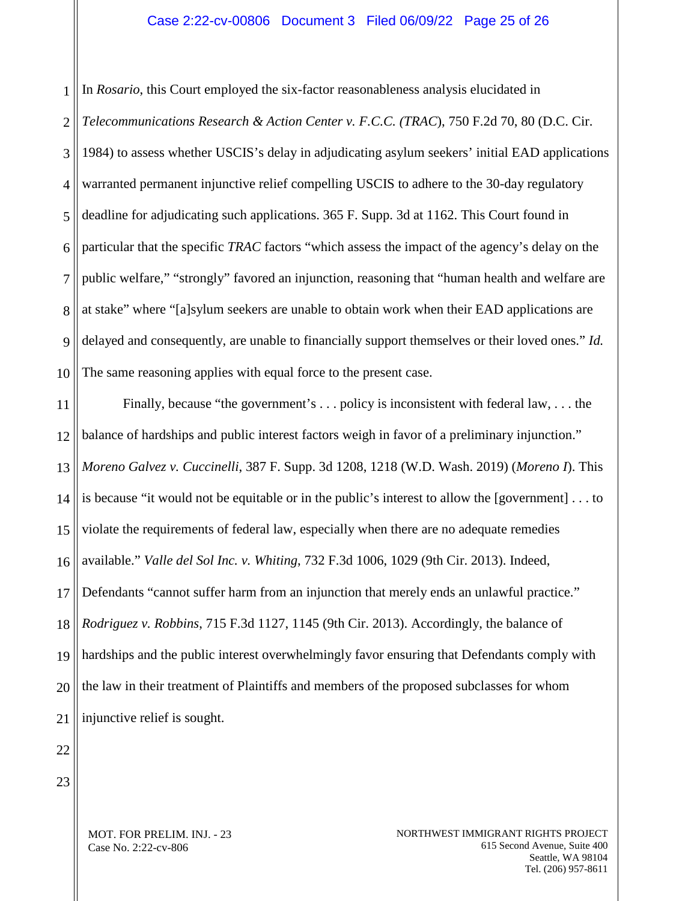#### Case 2:22-cv-00806 Document 3 Filed 06/09/22 Page 25 of 26

1 2 3 4 5 6 7 8 9 10 In *Rosario*, this Court employed the six-factor reasonableness analysis elucidated in *Telecommunications Research & Action Center v. F.C.C. (TRAC*), 750 F.2d 70, 80 (D.C. Cir. 1984) to assess whether USCIS's delay in adjudicating asylum seekers' initial EAD applications warranted permanent injunctive relief compelling USCIS to adhere to the 30-day regulatory deadline for adjudicating such applications. 365 F. Supp. 3d at 1162. This Court found in particular that the specific *TRAC* factors "which assess the impact of the agency's delay on the public welfare," "strongly" favored an injunction, reasoning that "human health and welfare are at stake" where "[a]sylum seekers are unable to obtain work when their EAD applications are delayed and consequently, are unable to financially support themselves or their loved ones." *Id.* The same reasoning applies with equal force to the present case.

11 12 13 14 15 16 17 18 19 20 21 Finally, because "the government's . . . policy is inconsistent with federal law, . . . the balance of hardships and public interest factors weigh in favor of a preliminary injunction." *Moreno Galvez v. Cuccinelli*, 387 F. Supp. 3d 1208, 1218 (W.D. Wash. 2019) (*Moreno I*). This is because "it would not be equitable or in the public's interest to allow the [government] . . . to violate the requirements of federal law, especially when there are no adequate remedies available." *Valle del Sol Inc. v. Whiting*, 732 F.3d 1006, 1029 (9th Cir. 2013). Indeed, Defendants "cannot suffer harm from an injunction that merely ends an unlawful practice." *Rodriguez v. Robbins*, 715 F.3d 1127, 1145 (9th Cir. 2013). Accordingly, the balance of hardships and the public interest overwhelmingly favor ensuring that Defendants comply with the law in their treatment of Plaintiffs and members of the proposed subclasses for whom injunctive relief is sought.

22 23

> MOT. FOR PRELIM. INJ. - 23 Case No. 2:22-cv-806